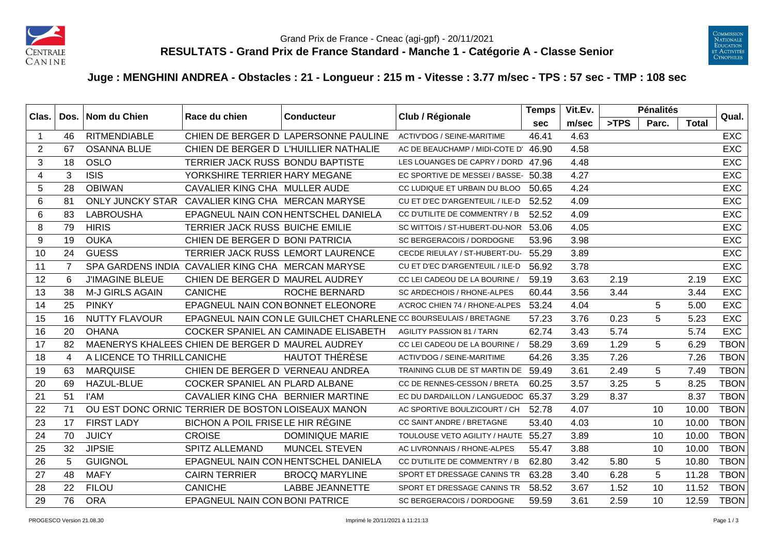



## **Juge : MENGHINI ANDREA - Obstacles : 21 - Longueur : 215 m - Vitesse : 3.77 m/sec - TPS : 57 sec - TMP : 108 sec**

| Clas.          | Dos.           | Nom du Chien               | Race du chien                                      | <b>Conducteur</b>                     | Club / Régionale                                                 | <b>Temps</b> | Vit.Ev. |      | <b>Pénalités</b> |       | Qual.       |
|----------------|----------------|----------------------------|----------------------------------------------------|---------------------------------------|------------------------------------------------------------------|--------------|---------|------|------------------|-------|-------------|
|                |                |                            |                                                    |                                       |                                                                  | <b>sec</b>   | m/sec   | >TPS | Parc.            | Total |             |
| -1             | 46             | <b>RITMENDIABLE</b>        |                                                    | CHIEN DE BERGER D LAPERSONNE PAULINE  | ACTIV'DOG / SEINE-MARITIME                                       | 46.41        | 4.63    |      |                  |       | <b>EXC</b>  |
| $\overline{2}$ | 67             | <b>OSANNA BLUE</b>         |                                                    | CHIEN DE BERGER D L'HUILLIER NATHALIE | AC DE BEAUCHAMP / MIDI-COTE D' 46.90                             |              | 4.58    |      |                  |       | <b>EXC</b>  |
| 3              | 18             | <b>OSLO</b>                | TERRIER JACK RUSS BONDU BAPTISTE                   |                                       | LES LOUANGES DE CAPRY / DORD                                     | 47.96        | 4.48    |      |                  |       | <b>EXC</b>  |
| 4              | 3              | <b>ISIS</b>                | YORKSHIRE TERRIER HARY MEGANE                      |                                       | EC SPORTIVE DE MESSEI / BASSE- 50.38                             |              | 4.27    |      |                  |       | <b>EXC</b>  |
| 5              | 28             | <b>OBIWAN</b>              | CAVALIER KING CHA MULLER AUDE                      |                                       | CC LUDIQUE ET URBAIN DU BLOO                                     | 50.65        | 4.24    |      |                  |       | <b>EXC</b>  |
| 6              | 81             |                            | ONLY JUNCKY STAR CAVALIER KING CHA MERCAN MARYSE   |                                       | CU ET D'EC D'ARGENTEUIL / ILE-D                                  | 52.52        | 4.09    |      |                  |       | <b>EXC</b>  |
| 6              | 83             | <b>LABROUSHA</b>           |                                                    | EPAGNEUL NAIN CON HENTSCHEL DANIELA   | CC D'UTILITE DE COMMENTRY / B                                    | 52.52        | 4.09    |      |                  |       | <b>EXC</b>  |
| 8              | 79             | <b>HIRIS</b>               | TERRIER JACK RUSS BUICHE EMILIE                    |                                       | SC WITTOIS / ST-HUBERT-DU-NOR                                    | 53.06        | 4.05    |      |                  |       | <b>EXC</b>  |
| 9              | 19             | <b>OUKA</b>                | CHIEN DE BERGER D BONI PATRICIA                    |                                       | SC BERGERACOIS / DORDOGNE                                        | 53.96        | 3.98    |      |                  |       | <b>EXC</b>  |
| 10             | 24             | <b>GUESS</b>               | TERRIER JACK RUSS LEMORT LAURENCE                  |                                       | CECDE RIEULAY / ST-HUBERT-DU-                                    | 55.29        | 3.89    |      |                  |       | <b>EXC</b>  |
| 11             | $\overline{7}$ |                            | SPA GARDENS INDIA CAVALIER KING CHA MERCAN MARYSE  |                                       | CU ET D'EC D'ARGENTEUIL / ILE-D                                  | 56.92        | 3.78    |      |                  |       | <b>EXC</b>  |
| 12             | 6              | <b>J'IMAGINE BLEUE</b>     | CHIEN DE BERGER D MAUREL AUDREY                    |                                       | CC LEI CADEOU DE LA BOURINE                                      | 59.19        | 3.63    | 2.19 |                  | 2.19  | EXC         |
| 13             | 38             | <b>M-J GIRLS AGAIN</b>     | <b>CANICHE</b>                                     | <b>ROCHE BERNARD</b>                  | SC ARDECHOIS / RHONE-ALPES                                       | 60.44        | 3.56    | 3.44 |                  | 3.44  | <b>EXC</b>  |
| 14             | 25             | <b>PINKY</b>               | EPAGNEUL NAIN CON BONNET ELEONORE                  |                                       | A'CROC CHIEN 74 / RHONE-ALPES                                    | 53.24        | 4.04    |      | 5                | 5.00  | <b>EXC</b>  |
| 15             | 16             | <b>NUTTY FLAVOUR</b>       |                                                    |                                       | EPAGNEUL NAIN CON LE GUILCHET CHARLENE CC BOURSEULAIS / BRETAGNE | 57.23        | 3.76    | 0.23 | 5                | 5.23  | <b>EXC</b>  |
| 16             | 20             | <b>OHANA</b>               |                                                    | COCKER SPANIEL AN CAMINADE ELISABETH  | <b>AGILITY PASSION 81 / TARN</b>                                 | 62.74        | 3.43    | 5.74 |                  | 5.74  | <b>EXC</b>  |
| 17             | 82             |                            | MAENERYS KHALEES CHIEN DE BERGER D MAUREL AUDREY   |                                       | CC LEI CADEOU DE LA BOURINE                                      | 58.29        | 3.69    | 1.29 | 5                | 6.29  | <b>TBON</b> |
| 18             | $\overline{4}$ | A LICENCE TO THRILLCANICHE |                                                    | <b>HAUTOT THÉRÈSE</b>                 | ACTIV'DOG / SEINE-MARITIME                                       | 64.26        | 3.35    | 7.26 |                  | 7.26  | <b>TBON</b> |
| 19             | 63             | <b>MARQUISE</b>            | CHIEN DE BERGER D VERNEAU ANDREA                   |                                       | TRAINING CLUB DE ST MARTIN DE                                    | 59.49        | 3.61    | 2.49 | 5                | 7.49  | <b>TBON</b> |
| 20             | 69             | <b>HAZUL-BLUE</b>          | COCKER SPANIEL AN PLARD ALBANE                     |                                       | CC DE RENNES-CESSON / BRETA                                      | 60.25        | 3.57    | 3.25 | 5                | 8.25  | <b>TBON</b> |
| 21             | 51             | l'AM                       | CAVALIER KING CHA BERNIER MARTINE                  |                                       | EC DU DARDAILLON / LANGUEDOC 65.37                               |              | 3.29    | 8.37 |                  | 8.37  | <b>TBON</b> |
| 22             | 71             |                            | OU EST DONC ORNIC TERRIER DE BOSTON LOISEAUX MANON |                                       | AC SPORTIVE BOULZICOURT / CH                                     | 52.78        | 4.07    |      | 10               | 10.00 | <b>TBON</b> |
| 23             | 17             | <b>FIRST LADY</b>          | BICHON A POIL FRISE LE HIR RÉGINE                  |                                       | CC SAINT ANDRE / BRETAGNE                                        | 53.40        | 4.03    |      | 10               | 10.00 | <b>TBON</b> |
| 24             | 70             | <b>JUICY</b>               | <b>CROISE</b>                                      | <b>DOMINIQUE MARIE</b>                | TOULOUSE VETO AGILITY / HAUTE 55.27                              |              | 3.89    |      | 10               | 10.00 | <b>TBON</b> |
| 25             | 32             | <b>JIPSIE</b>              | <b>SPITZ ALLEMAND</b>                              | <b>MUNCEL STEVEN</b>                  | AC LIVRONNAIS / RHONE-ALPES                                      | 55.47        | 3.88    |      | 10               | 10.00 | <b>TBON</b> |
| 26             | 5              | <b>GUIGNOL</b>             |                                                    | EPAGNEUL NAIN CON HENTSCHEL DANIELA   | CC D'UTILITE DE COMMENTRY / B                                    | 62.80        | 3.42    | 5.80 | 5                | 10.80 | <b>TBON</b> |
| 27             | 48             | <b>MAFY</b>                | <b>CAIRN TERRIER</b>                               | <b>BROCQ MARYLINE</b>                 | SPORT ET DRESSAGE CANINS TR                                      | 63.28        | 3.40    | 6.28 | 5                | 11.28 | <b>TBON</b> |
| 28             | 22             | <b>FILOU</b>               | <b>CANICHE</b>                                     | <b>LABBE JEANNETTE</b>                | SPORT ET DRESSAGE CANINS TR                                      | 58.52        | 3.67    | 1.52 | 10               | 11.52 | <b>TBON</b> |
| 29             | 76             | <b>ORA</b>                 | EPAGNEUL NAIN CON BONI PATRICE                     |                                       | SC BERGERACOIS / DORDOGNE                                        | 59.59        | 3.61    | 2.59 | 10               | 12.59 | <b>TBON</b> |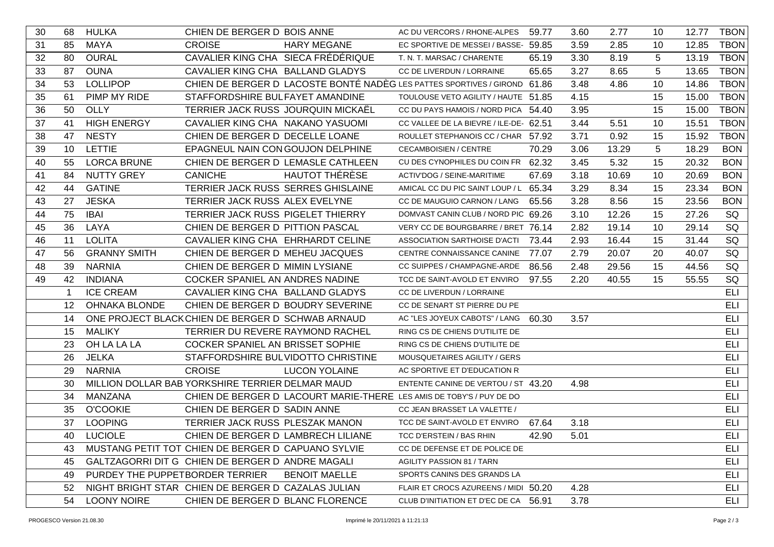| 30 | 68              | <b>HULKA</b>                                          | CHIEN DE BERGER D BOIS ANNE                      |                      | AC DU VERCORS / RHONE-ALPES                                               | 59.77 | 3.60 | 2.77  | 10 | 12.77 | <b>TBON</b> |
|----|-----------------|-------------------------------------------------------|--------------------------------------------------|----------------------|---------------------------------------------------------------------------|-------|------|-------|----|-------|-------------|
| 31 | 85              | <b>MAYA</b>                                           | <b>CROISE</b>                                    | <b>HARY MEGANE</b>   | EC SPORTIVE DE MESSEI / BASSE- 59.85                                      |       | 3.59 | 2.85  | 10 | 12.85 | <b>TBON</b> |
| 32 | 80              | <b>OURAL</b>                                          | CAVALIER KING CHA SIECA FRÉDÉRIQUE               |                      | T. N. T. MARSAC / CHARENTE                                                | 65.19 | 3.30 | 8.19  | 5  | 13.19 | <b>TBON</b> |
| 33 | 87              | <b>OUNA</b>                                           | CAVALIER KING CHA BALLAND GLADYS                 |                      | CC DE LIVERDUN / LORRAINE                                                 | 65.65 | 3.27 | 8.65  | 5  | 13.65 | <b>TBON</b> |
| 34 | 53              | <b>LOLLIPOP</b>                                       |                                                  |                      | CHIEN DE BERGER D LACOSTE BONTÉ NADÈG LES PATTES SPORTIVES / GIROND 61.86 |       | 3.48 | 4.86  | 10 | 14.86 | <b>TBON</b> |
| 35 | 61              | PIMP MY RIDE                                          | STAFFORDSHIRE BULFAYET AMANDINE                  |                      | TOULOUSE VETO AGILITY / HAUTE 51.85                                       |       | 4.15 |       | 15 | 15.00 | <b>TBON</b> |
| 36 | 50              | OLLY                                                  | TERRIER JACK RUSS JOURQUIN MICKAËL               |                      | CC DU PAYS HAMOIS / NORD PICA 54.40                                       |       | 3.95 |       | 15 | 15.00 | <b>TBON</b> |
| 37 | 41              | <b>HIGH ENERGY</b>                                    | CAVALIER KING CHA NAKANO YASUOMI                 |                      | CC VALLEE DE LA BIEVRE / ILE-DE- 62.51                                    |       | 3.44 | 5.51  | 10 | 15.51 | <b>TBON</b> |
| 38 | 47              | <b>NESTY</b>                                          | CHIEN DE BERGER D DECELLE LOANE                  |                      | ROULLET STEPHANOIS CC / CHAR 57.92                                        |       | 3.71 | 0.92  | 15 | 15.92 | <b>TBON</b> |
| 39 | 10              | LETTIE                                                | EPAGNEUL NAIN CON GOUJON DELPHINE                |                      | <b>CECAMBOISIEN / CENTRE</b>                                              | 70.29 | 3.06 | 13.29 | 5  | 18.29 | <b>BON</b>  |
| 40 | 55              | <b>LORCA BRUNE</b>                                    | CHIEN DE BERGER D LEMASLE CATHLEEN               |                      | CU DES CYNOPHILES DU COIN FR 62.32                                        |       | 3.45 | 5.32  | 15 | 20.32 | <b>BON</b>  |
| 41 | 84              | <b>NUTTY GREY</b>                                     | <b>CANICHE</b>                                   | HAUTOT THÉRÈSE       | ACTIV'DOG / SEINE-MARITIME                                                | 67.69 | 3.18 | 10.69 | 10 | 20.69 | <b>BON</b>  |
| 42 | 44              | <b>GATINE</b>                                         | TERRIER JACK RUSS SERRES GHISLAINE               |                      | AMICAL CC DU PIC SAINT LOUP / L 65.34                                     |       | 3.29 | 8.34  | 15 | 23.34 | <b>BON</b>  |
| 43 | 27              | <b>JESKA</b>                                          | TERRIER JACK RUSS ALEX EVELYNE                   |                      | CC DE MAUGUIO CARNON / LANG                                               | 65.56 | 3.28 | 8.56  | 15 | 23.56 | <b>BON</b>  |
| 44 | 75              | <b>IBAI</b>                                           | TERRIER JACK RUSS PIGELET THIERRY                |                      | DOMVAST CANIN CLUB / NORD PIC 69.26                                       |       | 3.10 | 12.26 | 15 | 27.26 | SQ          |
| 45 | 36              | LAYA                                                  | CHIEN DE BERGER D PITTION PASCAL                 |                      | VERY CC DE BOURGBARRE / BRET 76.14                                        |       | 2.82 | 19.14 | 10 | 29.14 | SQ          |
| 46 | 11              | <b>LOLITA</b>                                         | CAVALIER KING CHA EHRHARDT CELINE                |                      | ASSOCIATION SARTHOISE D'ACTI                                              | 73.44 | 2.93 | 16.44 | 15 | 31.44 | SQ          |
| 47 | 56              | <b>GRANNY SMITH</b>                                   | CHIEN DE BERGER D MEHEU JACQUES                  |                      | CENTRE CONNAISSANCE CANINE                                                | 77.07 | 2.79 | 20.07 | 20 | 40.07 | SQ          |
| 48 | 39              | <b>NARNIA</b>                                         | CHIEN DE BERGER D MIMIN LYSIANE                  |                      | CC SUIPPES / CHAMPAGNE-ARDE                                               | 86.56 | 2.48 | 29.56 | 15 | 44.56 | SQ          |
| 49 | 42              | <b>INDIANA</b>                                        | COCKER SPANIEL AN ANDRES NADINE                  |                      | TCC DE SAINT-AVOLD ET ENVIRO                                              | 97.55 | 2.20 | 40.55 | 15 | 55.55 | SQ          |
|    | $\mathbf{1}$    | <b>ICE CREAM</b>                                      | CAVALIER KING CHA BALLAND GLADYS                 |                      | CC DE LIVERDUN / LORRAINE                                                 |       |      |       |    |       | <b>ELI</b>  |
|    | 12 <sup>2</sup> | <b>OHNAKA BLONDE</b>                                  | CHIEN DE BERGER D BOUDRY SEVERINE                |                      | CC DE SENART ST PIERRE DU PE                                              |       |      |       |    |       | <b>ELI</b>  |
|    | 14              |                                                       | ONE PROJECT BLACKCHIEN DE BERGER D SCHWAB ARNAUD |                      | AC "LES JOYEUX CABOTS" / LANG 60.30                                       |       | 3.57 |       |    |       | ELI         |
|    | 15              | <b>MALIKY</b>                                         | TERRIER DU REVERE RAYMOND RACHEL                 |                      | RING CS DE CHIENS D'UTILITE DE                                            |       |      |       |    |       | <b>ELI</b>  |
|    | 23              | OH LA LA LA                                           | COCKER SPANIEL AN BRISSET SOPHIE                 |                      | RING CS DE CHIENS D'UTILITE DE                                            |       |      |       |    |       | ELI         |
|    | 26              | <b>JELKA</b>                                          | STAFFORDSHIRE BULVIDOTTO CHRISTINE               |                      | MOUSQUETAIRES AGILITY / GERS                                              |       |      |       |    |       | <b>ELI</b>  |
|    | 29              | <b>NARNIA</b>                                         | <b>CROISE</b>                                    | <b>LUCON YOLAINE</b> | AC SPORTIVE ET D'EDUCATION R                                              |       |      |       |    |       | ELI         |
|    | 30              |                                                       | MILLION DOLLAR BAB YORKSHIRE TERRIER DELMAR MAUD |                      | ENTENTE CANINE DE VERTOU / ST 43.20                                       |       | 4.98 |       |    |       | ELI         |
|    | 34              | MANZANA                                               |                                                  |                      | CHIEN DE BERGER D LACOURT MARIE-THERE LES AMIS DE TOBY'S / PUY DE DO      |       |      |       |    |       | ELI         |
|    | 35              | <b>O'COOKIE</b>                                       | CHIEN DE BERGER D SADIN ANNE                     |                      | CC JEAN BRASSET LA VALETTE /                                              |       |      |       |    |       | ELI         |
|    | 37              | <b>LOOPING</b>                                        | TERRIER JACK RUSS PLESZAK MANON                  |                      | TCC DE SAINT-AVOLD ET ENVIRO                                              | 67.64 | 3.18 |       |    |       | <b>ELI</b>  |
|    |                 | 40 LUCIOLE                                            | CHIEN DE BERGER D LAMBRECH LILIANE               |                      | TCC D'ERSTEIN / BAS RHIN                                                  | 42.90 | 5.01 |       |    |       | ELI         |
|    |                 | 43 MUSTANG PETIT TOT CHIEN DE BERGER D CAPUANO SYLVIE |                                                  |                      | CC DE DEFENSE ET DE POLICE DE                                             |       |      |       |    |       | ELI         |
|    | 45              |                                                       | GALTZAGORRI DIT G CHIEN DE BERGER D ANDRE MAGALI |                      | <b>AGILITY PASSION 81 / TARN</b>                                          |       |      |       |    |       | ELI         |
|    | 49              | PURDEY THE PUPPETBORDER TERRIER                       |                                                  | <b>BENOIT MAELLE</b> | SPORTS CANINS DES GRANDS LA                                               |       |      |       |    |       | ELI         |
|    |                 | 52 NIGHT BRIGHT STAR CHIEN DE BERGER D CAZALAS JULIAN |                                                  |                      | FLAIR ET CROCS AZUREENS / MIDI 50.20                                      |       | 4.28 |       |    |       | ELI         |
|    |                 | 54 LOONY NOIRE                                        | CHIEN DE BERGER D BLANC FLORENCE                 |                      | CLUB D'INITIATION ET D'EC DE CA 56.91                                     |       | 3.78 |       |    |       | ELI         |